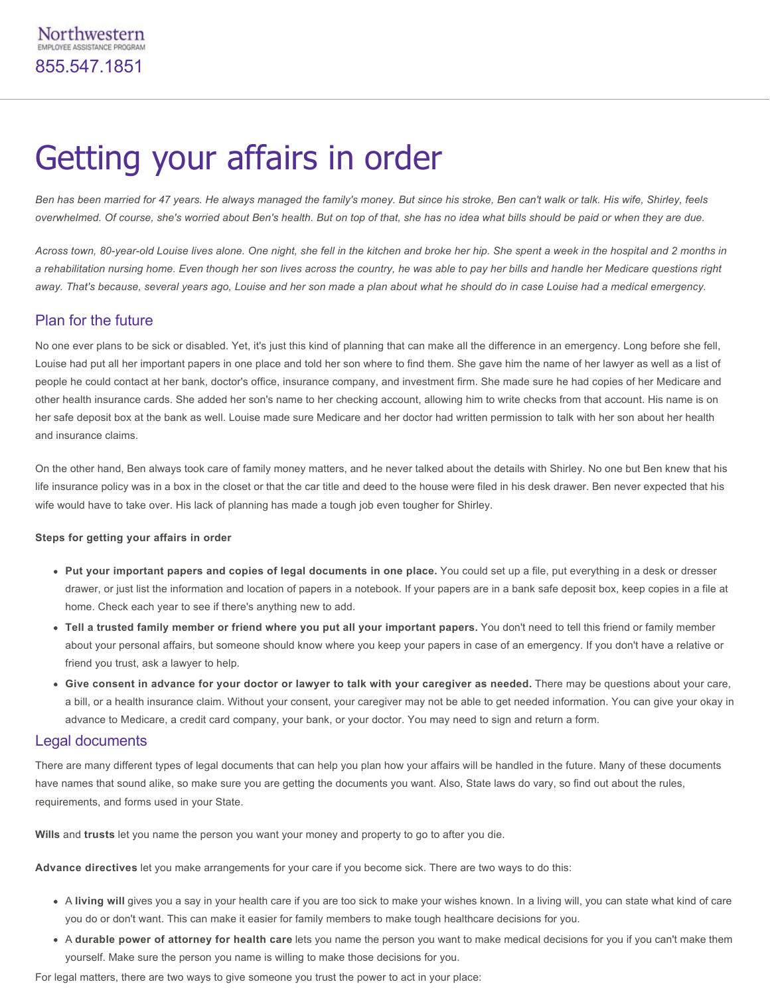# Getting your affairs in order

*Ben has been married for 47 years. He always managed the family's money. But since his stroke, Ben can't walk or talk. His wife, Shirley, feels overwhelmed. Of course, she's worried about Ben's health. But on top of that, she has no idea what bills should be paid or when they are due.*

*Across town, 80yearold Louise lives alone. One night, she fell in the kitchen and broke her hip. She spent a week in the hospital and 2 months in a rehabilitation nursing home. Even though her son lives across the country, he was able to pay her bills and handle her Medicare questions right away. That's because, several years ago, Louise and her son made a plan about what he should do in case Louise had a medical emergency.*

# Plan for the future

No one ever plans to be sick or disabled. Yet, it's just this kind of planning that can make all the difference in an emergency. Long before she fell, Louise had put all her important papers in one place and told her son where to find them. She gave him the name of her lawyer as well as a list of people he could contact at her bank, doctor's office, insurance company, and investment firm. She made sure he had copies of her Medicare and other health insurance cards. She added her son's name to her checking account, allowing him to write checks from that account. His name is on her safe deposit box at the bank as well. Louise made sure Medicare and her doctor had written permission to talk with her son about her health and insurance claims.

On the other hand, Ben always took care of family money matters, and he never talked about the details with Shirley. No one but Ben knew that his life insurance policy was in a box in the closet or that the car title and deed to the house were filed in his desk drawer. Ben never expected that his wife would have to take over. His lack of planning has made a tough job even tougher for Shirley.

### **Steps for getting your affairs in order**

- **Put your important papers and copies of legal documents in one place.** You could set up a file, put everything in a desk or dresser drawer, or just list the information and location of papers in a notebook. If your papers are in a bank safe deposit box, keep copies in a file at home. Check each year to see if there's anything new to add.
- **Tell a trusted family member or friend where you put all your important papers.** You don't need to tell this friend or family member about your personal affairs, but someone should know where you keep your papers in case of an emergency. If you don't have a relative or friend you trust, ask a lawyer to help.
- **Give consent in advance for your doctor or lawyer to talk with your caregiver as needed.** There may be questions about your care, a bill, or a health insurance claim. Without your consent, your caregiver may not be able to get needed information. You can give your okay in advance to Medicare, a credit card company, your bank, or your doctor. You may need to sign and return a form.

## Legal documents

There are many different types of legal documents that can help you plan how your affairs will be handled in the future. Many of these documents have names that sound alike, so make sure you are getting the documents you want. Also, State laws do vary, so find out about the rules, requirements, and forms used in your State.

**Wills** and **trusts** let you name the person you want your money and property to go to after you die.

**Advance directives** let you make arrangements for your care if you become sick. There are two ways to do this:

- A **living will** gives you a say in your health care if you are too sick to make your wishes known. In a living will, you can state what kind of care you do or don't want. This can make it easier for family members to make tough healthcare decisions for you.
- A **durable power of attorney for health care** lets you name the person you want to make medical decisions for you if you can't make them yourself. Make sure the person you name is willing to make those decisions for you.

For legal matters, there are two ways to give someone you trust the power to act in your place: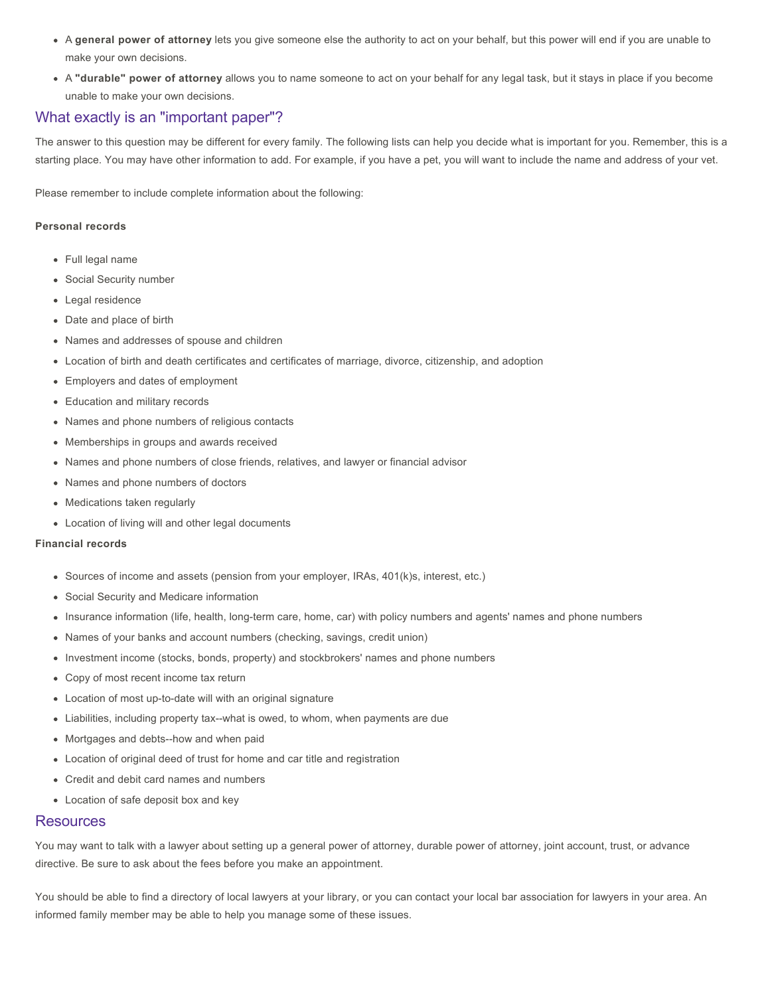- A general power of attorney lets you give someone else the authority to act on your behalf, but this power will end if you are unable to make your own decisions.
- A **"durable" power of attorney** allows you to name someone to act on your behalf for any legal task, but it stays in place if you become unable to make your own decisions.

## What exactly is an "important paper"?

The answer to this question may be different for every family. The following lists can help you decide what is important for you. Remember, this is a starting place. You may have other information to add. For example, if you have a pet, you will want to include the name and address of your vet.

Please remember to include complete information about the following:

#### **Personal records**

- Full legal name
- Social Security number
- Legal residence
- Date and place of birth
- Names and addresses of spouse and children
- Location of birth and death certificates and certificates of marriage, divorce, citizenship, and adoption
- Employers and dates of employment
- Education and military records
- Names and phone numbers of religious contacts
- Memberships in groups and awards received
- Names and phone numbers of close friends, relatives, and lawyer or financial advisor
- Names and phone numbers of doctors
- Medications taken regularly
- Location of living will and other legal documents

#### **Financial records**

- Sources of income and assets (pension from your employer, IRAs, 401(k)s, interest, etc.)
- Social Security and Medicare information
- Insurance information (life, health, long-term care, home, car) with policy numbers and agents' names and phone numbers
- Names of your banks and account numbers (checking, savings, credit union)
- Investment income (stocks, bonds, property) and stockbrokers' names and phone numbers
- Copy of most recent income tax return
- Location of most up-to-date will with an original signature
- Liabilities, including property tax--what is owed, to whom, when payments are due
- Mortgages and debts--how and when paid
- Location of original deed of trust for home and car title and registration
- Credit and debit card names and numbers
- Location of safe deposit box and key

## **Resources**

You may want to talk with a lawyer about setting up a general power of attorney, durable power of attorney, joint account, trust, or advance directive. Be sure to ask about the fees before you make an appointment.

You should be able to find a directory of local lawyers at your library, or you can contact your local bar association for lawyers in your area. An informed family member may be able to help you manage some of these issues.